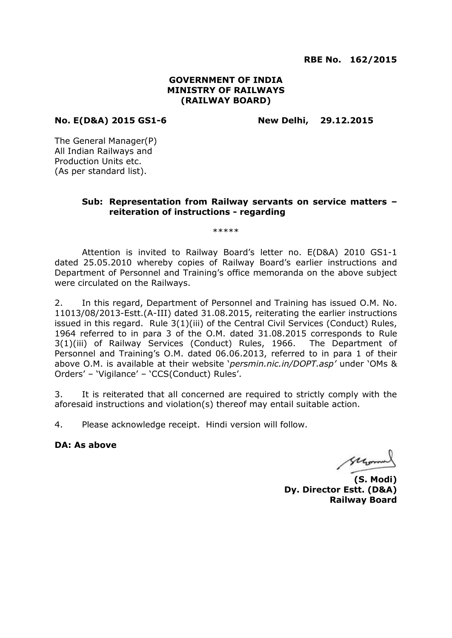**RBE No. 162/2015**

### **GOVERNMENT OF INDIA MINISTRY OF RAILWAYS (RAILWAY BOARD)**

### **No. E(D&A) 2015 GS1-6 New Delhi, 29.12.2015**

The General Manager(P) All Indian Railways and Production Units etc. (As per standard list).

### **Sub: Representation from Railway servants on service matters – reiteration of instructions - regarding**

\*\*\*\*\*

Attention is invited to Railway Board's letter no. E(D&A) 2010 GS1-1 dated 25.05.2010 whereby copies of Railway Board's earlier instructions and Department of Personnel and Training's office memoranda on the above subject were circulated on the Railways.

2. In this regard, Department of Personnel and Training has issued O.M. No. 11013/08/2013-Estt.(A-III) dated 31.08.2015, reiterating the earlier instructions issued in this regard. Rule 3(1)(iii) of the Central Civil Services (Conduct) Rules, 1964 referred to in para 3 of the O.M. dated 31.08.2015 corresponds to Rule 3(1)(iii) of Railway Services (Conduct) Rules, 1966. The Department of Personnel and Training's O.M. dated 06.06.2013, referred to in para 1 of their above O.M. is available at their website '*persmin.nic.in/DOPT.asp'* under 'OMs & Orders' – 'Vigilance' – 'CCS(Conduct) Rules'.

3. It is reiterated that all concerned are required to strictly comply with the aforesaid instructions and violation(s) thereof may entail suitable action.

4. Please acknowledge receipt. Hindi version will follow.

### **DA: As above**

Morro

**(S. Modi) Dy. Director Estt. (D&A) Railway Board**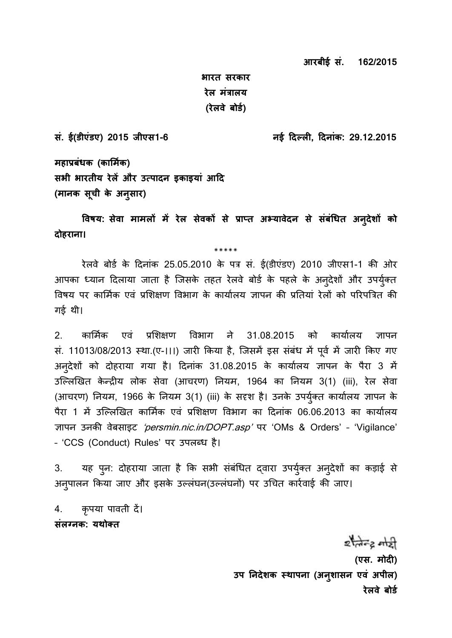**आरबीई सं. 162/2015** 

**भारत सरकार रेल मंत्रालय (रेलवे बोर्ड)** 

**सं. ई(र्ीएंर्ए) 2015 जीएस1-6 नई दिल् लn, दिनांक: 29.12.2015**

**महाप्रबंधक (कार्मडक) सभी भारतीय रेलें और उत पािन ाकाायां आदि (मानक सूची के अनुसार)** 

**ववषय: सेवा मामलों में रेल सेवकों से प्राप् त अ् यावेिन से संबंतधत अनुिें ों को िोहराना।** 

\*\*\*\*\*

रेलवे बोर्ड के दिनांक 25.05.2010 के पत्र सं. ई(डीएंडए) 2010 जीएस1-1 की ओर आपका ध्यान दिलाया जाता है जिसके तहत रेलवे बोर्ड के पहले के अन्देशों और उपर्युक्त विषय पर कार्मिक एवं प्रशिक्षण विभाग के कार्यालय ज्ञापन की प्रतियां रेलों को परिपत्रित की गई थी।

2. कार्मिक एवं प्रशिक्षण विभाग ने 31.08.2015 को कार्यालय ज्ञापन सं. 11013/08/2013 स्था.(ए-।।।) जारी किया है, जिसमें इस संबंध में पूर्व में जारी किए गए अनुदेशों को दोहराया गया है। दिनांक 31.08.2015 के कार्यालय ज्ञापन के पैरा 3 में उल्लिखित केन्द्रीय लोक सेवा (आचरण) नियम, 1964 का नियम 3(1) (iii), रेल सेवा (आचरण) नियम, 1966 के नियम 3(1) (iii) के सदृश है। उनके उपर्युक्त कार्यालय ज्ञापन के पैरा 1 में उल्लिखित कार्मिक एवं प्रशिक्षण विभाग का दिनांक 06.06.2013 का कार्यालय ज्ञापन उनकी वेबसाइट 'persmin.nic.in/DOPT.asp' पर 'OMs & Orders' - 'Vigilance' – 'CCS (Conduct) Rules' पर उपलब्ध है।

3. यह पून: दोहराया जाता है कि सभी संबंधित द्वारा उपर्युक्त अन्**देशों का कड़ाई** से अनुपालन किया जाए और इसके उल्लंघन(उल्लंघनों) पर उचित कार्रवाई की जाए।

4. कृपया पावती दें। **संलग्नक: यथोक्त** 

> $z$  and  $z$  and  $z$ (एस. मोदी) **उप ननिें क स् थापना (अनुं ासन एवं अपील) रेलवे बोर्ड**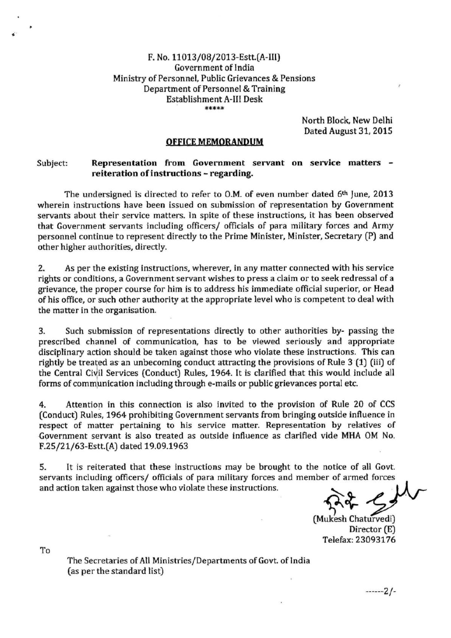### F. No. 11013/08/2013-Estt.(A-III) **Government of India** Ministry of Personnel, Public Grievances & Pensions Department of Personnel & Training **Establishment A-III Desk** \*\*\*\*\*

North Block, New Delhi Dated August 31, 2015

### **OFFICE MEMORANDUM**

#### Representation from Government servant on service matters -Subject: reiteration of instructions - regarding.

The undersigned is directed to refer to O.M. of even number dated 6th June, 2013 wherein instructions have been issued on submission of representation by Government servants about their service matters. In spite of these instructions, it has been observed that Government servants including officers/ officials of para military forces and Army personnel continue to represent directly to the Prime Minister, Minister, Secretary (P) and other higher authorities, directly.

2. As per the existing instructions, wherever, in any matter connected with his service rights or conditions, a Government servant wishes to press a claim or to seek redressal of a grievance, the proper course for him is to address his immediate official superior, or Head of his office, or such other authority at the appropriate level who is competent to deal with the matter in the organisation.

3. Such submission of representations directly to other authorities by- passing the prescribed channel of communication, has to be viewed seriously and appropriate disciplinary action should be taken against those who violate these instructions. This can rightly be treated as an unbecoming conduct attracting the provisions of Rule 3 (1) (iii) of the Central Civil Services (Conduct) Rules, 1964. It is clarified that this would include all forms of communication including through e-mails or public grievances portal etc.

Attention in this connection is also invited to the provision of Rule 20 of CCS  $4.$ (Conduct) Rules, 1964 prohibiting Government servants from bringing outside influence in respect of matter pertaining to his service matter. Representation by relatives of Government servant is also treated as outside influence as clarified vide MHA OM No. F.25/21/63-Estt.(A) dated 19.09.1963

5. It is reiterated that these instructions may be brought to the notice of all Govt. servants including officers/ officials of para military forces and member of armed forces and action taken against those who violate these instructions.

(Mukesh Chaturvedi) Director (E) Telefax: 23093176

To

The Secretaries of All Ministries/Departments of Govt. of India (as per the standard list)

 $---2/-$